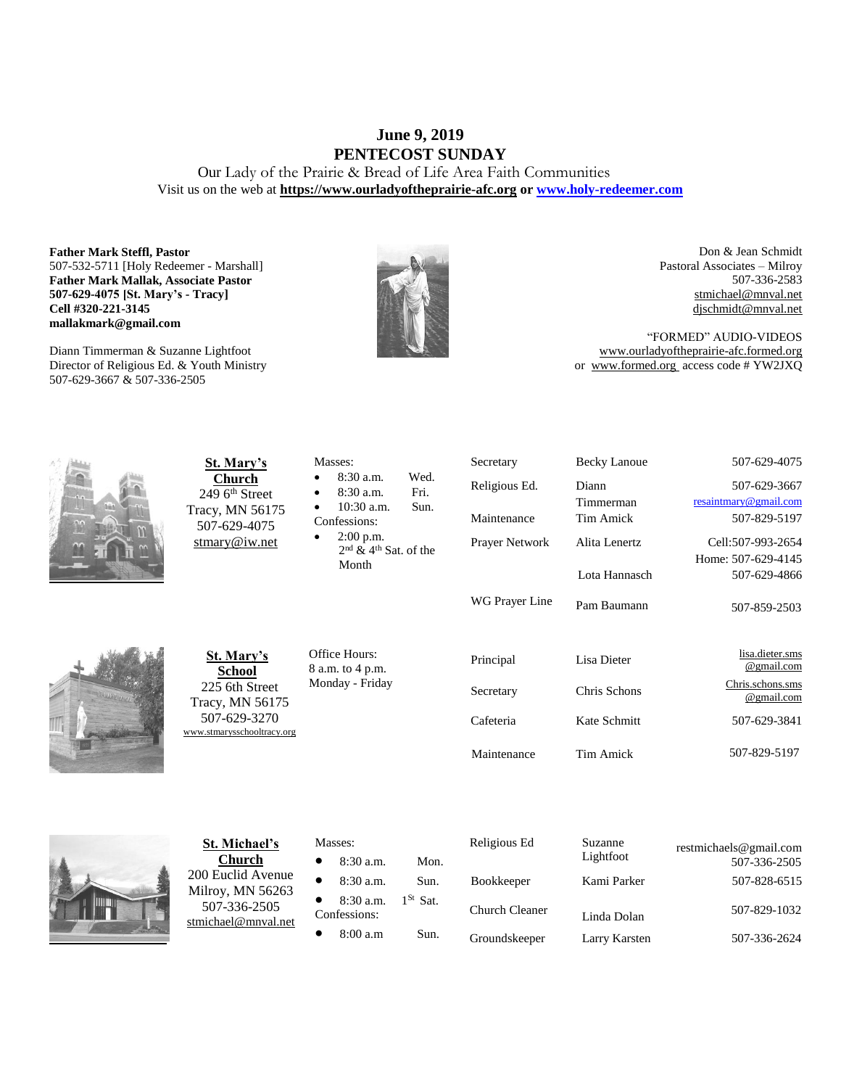### **June 9, 2019 PENTECOST SUNDAY**

Our Lady of the Prairie & Bread of Life Area Faith Communities Visit us on the web at **https:/[/www.ourladyoftheprairie-afc.org](http://www.ourladyoftheprairie-afc.org/) o[r www.holy-redeemer.com](http://www.holy-redeemer.com/)**

#### **Father Mark Steffl, Pastor** 507-532-5711 [Holy Redeemer - Marshall] **Father Mark Mallak, Associate Pastor 507-629-4075 [St. Mary's - Tracy] Cell #320-221-3145 mallakmark@gmail.com**

Diann Timmerman & Suzanne Lightfoot Director of Religious Ed. & Youth Ministry 507-629-3667 & 507-336-2505



Don & Jean Schmidt Pastoral Associates – Milroy 507-336-2583 [stmichael@mnval.net](mailto:stmichael@means.net) [djschmidt@mnval.net](mailto:djschmidt@mnval.net)

"FORMED" AUDIO-VIDEOS [www.ourladyoftheprairie-afc.formed.org](http://www.ourladyoftheprairie-afc.formed.org/) or www.formed.org access code # YW2JXQ

| St. Mary's<br><b>Church</b><br>$249$ 6 <sup>th</sup> Street<br>Tracy, MN 56175<br>507-629-4075<br>$\frac{\text{stmary@iw.net}}{}$ | Masses:<br>Wed.<br>8:30 a.m.<br>Fri.<br>8:30 a.m.<br>10:30 a.m.<br>Sun.<br>Confessions:<br>2:00 p.m.<br>$\bullet$<br>$2nd$ & 4 <sup>th</sup> Sat, of the<br>Month | Secretary<br>Religious Ed.<br>Maintenance<br>Prayer Network<br>WG Prayer Line | <b>Becky Lanoue</b><br>Diann<br>Timmerman<br><b>Tim Amick</b><br>Alita Lenertz<br>Lota Hannasch<br>Pam Baumann | 507-629-4075<br>507-629-3667<br>resaintmary@gmail.com<br>507-829-5197<br>Cell:507-993-2654<br>Home: 507-629-4145<br>507-629-4866<br>507-859-2503 |
|-----------------------------------------------------------------------------------------------------------------------------------|-------------------------------------------------------------------------------------------------------------------------------------------------------------------|-------------------------------------------------------------------------------|----------------------------------------------------------------------------------------------------------------|--------------------------------------------------------------------------------------------------------------------------------------------------|
| St. Mary's<br><b>School</b><br>225 6th Street<br>Tracy, MN 56175<br>507-629-3270<br>www.stmarysschooltracy.org                    | Office Hours:<br>8 a.m. to 4 p.m.<br>Monday - Friday                                                                                                              | Principal<br>Secretary<br>Cafeteria<br>Maintenance                            | Lisa Dieter<br>Chris Schons<br>Kate Schmitt<br>Tim Amick                                                       | lisa.dieter.sms<br>@gmail.com<br>Chris.schons.sms<br>@gmail.com<br>507-629-3841<br>507-829-5197                                                  |
| <b>St. Michael's</b><br><b>Church</b>                                                                                             | Masses:<br>8:30 a.m.<br>Mon.                                                                                                                                      | Religious Ed                                                                  | Suzanne<br>Lightfoot                                                                                           | restmichaels@gmail.com<br>507-336-2505                                                                                                           |



200 Euclid Avenue Milroy, MN 56263 507-336-2505 [stmichael@mnval.net](mailto:stmichael@mnval.net)

• 8:30 a.m. Sun.

• 8:30 a.m.  $1^{St}$  Sat.

Confessions:

• 8:00 a.m Sun.

| Religious Ed          | Suzanne<br>Lightfoot | restmichaels@gmail.com<br>507-336-2505 |
|-----------------------|----------------------|----------------------------------------|
| <b>Bookkeeper</b>     | Kami Parker          | 507-828-6515                           |
| <b>Church Cleaner</b> | Linda Dolan          | 507-829-1032                           |
| Groundskeeper         | Larry Karsten        | 507-336-2624                           |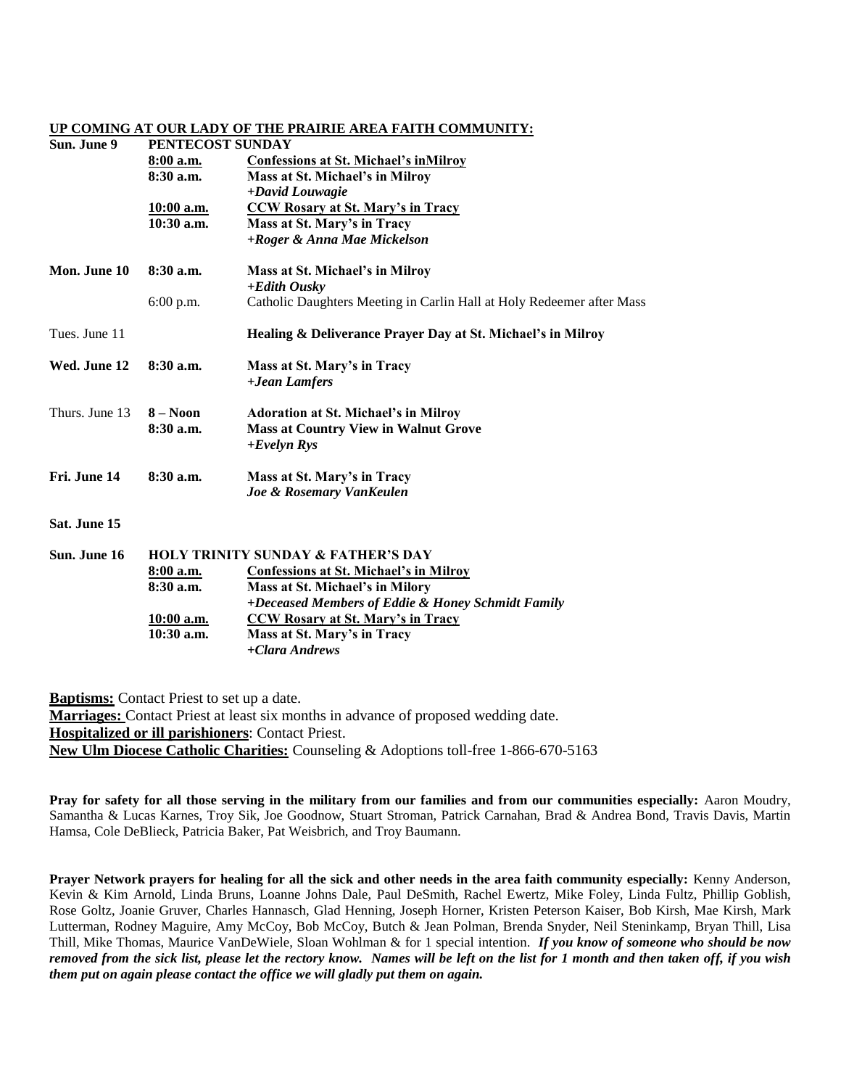### **UP COMING AT OUR LADY OF THE PRAIRIE AREA FAITH COMMUNITY:**

| Sun. June 9                                      |                                               | PENTECOST SUNDAY                                                      |  |  |  |
|--------------------------------------------------|-----------------------------------------------|-----------------------------------------------------------------------|--|--|--|
|                                                  | 8:00 a.m.                                     | <b>Confessions at St. Michael's inMilroy</b>                          |  |  |  |
|                                                  | 8:30 a.m.                                     | Mass at St. Michael's in Milroy                                       |  |  |  |
|                                                  |                                               | +David Louwagie                                                       |  |  |  |
|                                                  | 10:00 a.m.                                    | <b>CCW Rosary at St. Mary's in Tracy</b>                              |  |  |  |
|                                                  | 10:30 a.m.                                    | Mass at St. Mary's in Tracy                                           |  |  |  |
|                                                  |                                               | +Roger & Anna Mae Mickelson                                           |  |  |  |
| Mon. June 10                                     | $8:30$ a.m.                                   | Mass at St. Michael's in Milroy<br>+Edith Ousky                       |  |  |  |
|                                                  | $6:00$ p.m.                                   | Catholic Daughters Meeting in Carlin Hall at Holy Redeemer after Mass |  |  |  |
| Tues. June 11                                    |                                               | Healing & Deliverance Prayer Day at St. Michael's in Milroy           |  |  |  |
| Wed. June 12                                     | $8:30$ a.m.                                   | Mass at St. Mary's in Tracy                                           |  |  |  |
|                                                  |                                               | +Jean Lamfers                                                         |  |  |  |
| Thurs. June 13                                   | $8 - N00n$                                    | <b>Adoration at St. Michael's in Milroy</b>                           |  |  |  |
|                                                  | 8:30a.m.                                      | <b>Mass at Country View in Walnut Grove</b><br>$+Evelyn Rys$          |  |  |  |
| Fri. June 14                                     | 8:30 a.m.                                     | Mass at St. Mary's in Tracy                                           |  |  |  |
|                                                  |                                               | Joe & Rosemary VanKeulen                                              |  |  |  |
| Sat. June 15                                     |                                               |                                                                       |  |  |  |
| Sun. June 16                                     | <b>HOLY TRINITY SUNDAY &amp; FATHER'S DAY</b> |                                                                       |  |  |  |
|                                                  | 8:00 a.m.                                     | <b>Confessions at St. Michael's in Milroy</b>                         |  |  |  |
|                                                  | 8:30 a.m.                                     | Mass at St. Michael's in Milory                                       |  |  |  |
|                                                  |                                               | +Deceased Members of Eddie & Honey Schmidt Family                     |  |  |  |
|                                                  | 10:00 a.m.                                    | <b>CCW Rosary at St. Mary's in Tracy</b>                              |  |  |  |
|                                                  | $10:30$ a.m.                                  | Mass at St. Mary's in Tracy<br>+Clara Andrews                         |  |  |  |
|                                                  |                                               |                                                                       |  |  |  |
| <b>Roprisms:</b> Contact Drivet to set up a data |                                               |                                                                       |  |  |  |

**Baptisms:** Contact Priest to set up a date. **Marriages:** Contact Priest at least six months in advance of proposed wedding date. **Hospitalized or ill parishioners**: Contact Priest. **New Ulm Diocese Catholic Charities:** Counseling & Adoptions toll-free 1-866-670-5163

**Pray for safety for all those serving in the military from our families and from our communities especially:** Aaron Moudry, Samantha & Lucas Karnes, Troy Sik, Joe Goodnow, Stuart Stroman, Patrick Carnahan, Brad & Andrea Bond, Travis Davis, Martin Hamsa, Cole DeBlieck, Patricia Baker, Pat Weisbrich, and Troy Baumann.

**Prayer Network prayers for healing for all the sick and other needs in the area faith community especially:** Kenny Anderson, Kevin & Kim Arnold, Linda Bruns, Loanne Johns Dale, Paul DeSmith, Rachel Ewertz, Mike Foley, Linda Fultz, Phillip Goblish, Rose Goltz, Joanie Gruver, Charles Hannasch, Glad Henning, Joseph Horner, Kristen Peterson Kaiser, Bob Kirsh, Mae Kirsh, Mark Lutterman, Rodney Maguire, Amy McCoy, Bob McCoy, Butch & Jean Polman, Brenda Snyder, Neil Steninkamp, Bryan Thill, Lisa Thill, Mike Thomas, Maurice VanDeWiele, Sloan Wohlman & for 1 special intention. *If you know of someone who should be now removed from the sick list, please let the rectory know. Names will be left on the list for 1 month and then taken off, if you wish them put on again please contact the office we will gladly put them on again.*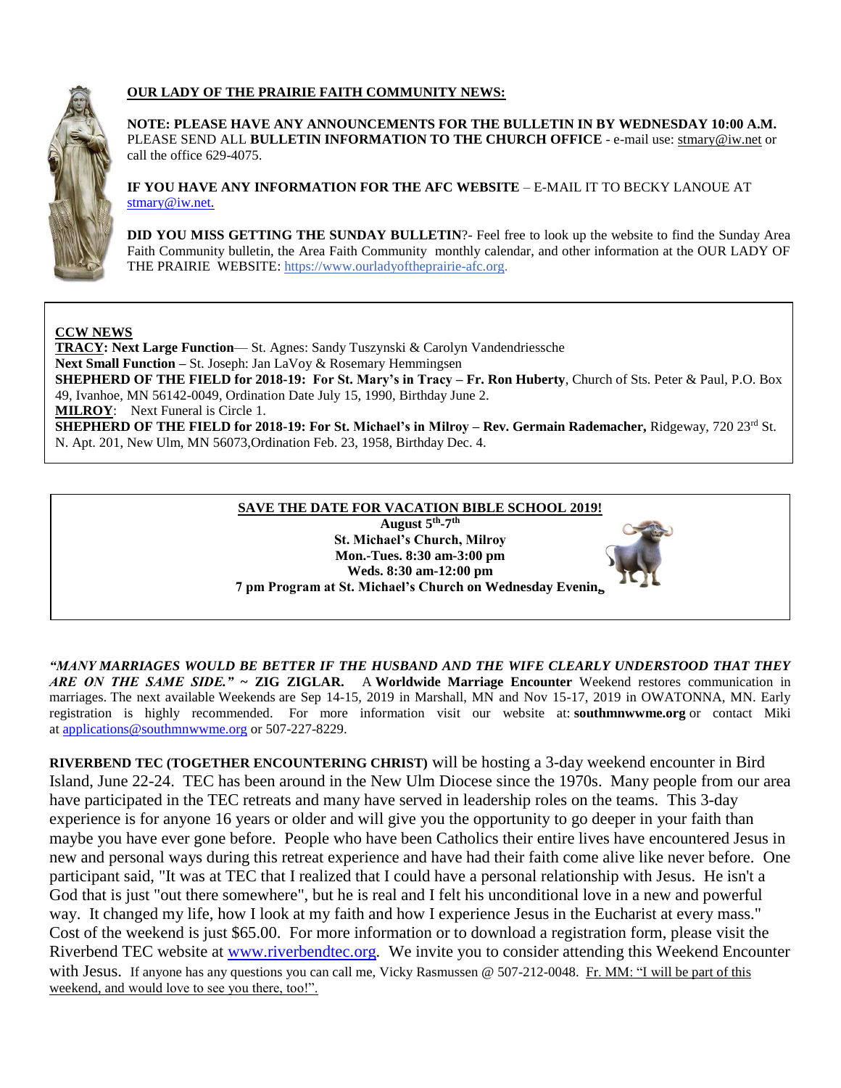

### **OUR LADY OF THE PRAIRIE FAITH COMMUNITY NEWS:**

**NOTE: PLEASE HAVE ANY ANNOUNCEMENTS FOR THE BULLETIN IN BY WEDNESDAY 10:00 A.M.** PLEASE SEND ALL **BULLETIN INFORMATION TO THE CHURCH OFFICE** - e-mail use[: stmary@iw.net](mailto:stmary@iw.net) or call the office 629-4075.

**IF YOU HAVE ANY INFORMATION FOR THE AFC WEBSITE** – E-MAIL IT TO BECKY LANOUE AT [stmary@iw.net.](mailto:stmary@iw.net)

**DID YOU MISS GETTING THE SUNDAY BULLETIN**?- Feel free to look up the website to find the Sunday Area Faith Community bulletin, the Area Faith Community monthly calendar, and other information at the OUR LADY OF THE PRAIRIE WEBSITE: https:/[/www.ourladyoftheprairie-afc.org.](http://www.ourladyoftheprairie-afc.org/)

### **CCW NEWS**

**TRACY: Next Large Function**— St. Agnes: Sandy Tuszynski & Carolyn Vandendriessche **Next Small Function –** St. Joseph: Jan LaVoy & Rosemary Hemmingsen **SHEPHERD OF THE FIELD for 2018-19: For St. Mary's in Tracy – Fr. Ron Huberty**, Church of Sts. Peter & Paul, P.O. Box 49, Ivanhoe, MN 56142-0049, Ordination Date July 15, 1990, Birthday June 2. **MILROY**: Next Funeral is Circle 1. **SHEPHERD OF THE FIELD for 2018-19: For St. Michael's in Milroy – Rev. Germain Rademacher,** Ridgeway, 720 23rd St. N. Apt. 201, New Ulm, MN 56073,Ordination Feb. 23, 1958, Birthday Dec. 4.



*"MANY MARRIAGES WOULD BE BETTER IF THE HUSBAND AND THE WIFE CLEARLY UNDERSTOOD THAT THEY ARE ON THE SAME SIDE."* **~ ZIG ZIGLAR.** A **Worldwide Marriage Encounter** Weekend restores communication in marriages. The next available Weekends are Sep 14-15, 2019 in Marshall, MN and Nov 15-17, 2019 in OWATONNA, MN. Early registration is highly recommended. For more information visit our website at: **southmnwwme.org** or contact Miki at [applications@southmnwwme.org](mailto:wmandbethnickles@hotmail.com) or 507-227-8229.

**RIVERBEND TEC (TOGETHER ENCOUNTERING CHRIST)** will be hosting a 3-day weekend encounter in Bird Island, June 22-24. TEC has been around in the New Ulm Diocese since the 1970s. Many people from our area have participated in the TEC retreats and many have served in leadership roles on the teams. This 3-day experience is for anyone 16 years or older and will give you the opportunity to go deeper in your faith than maybe you have ever gone before. People who have been Catholics their entire lives have encountered Jesus in new and personal ways during this retreat experience and have had their faith come alive like never before. One participant said, "It was at TEC that I realized that I could have a personal relationship with Jesus. He isn't a God that is just "out there somewhere", but he is real and I felt his unconditional love in a new and powerful way. It changed my life, how I look at my faith and how I experience Jesus in the Eucharist at every mass." Cost of the weekend is just \$65.00. For more information or to download a registration form, please visit the Riverbend TEC website at [www.riverbendtec.org.](http://www.riverbendtec.org/) We invite you to consider attending this Weekend Encounter with Jesus. If anyone has any questions you can call me, Vicky Rasmussen @ 507-212-0048. Fr. MM: "I will be part of this weekend, and would love to see you there, too!".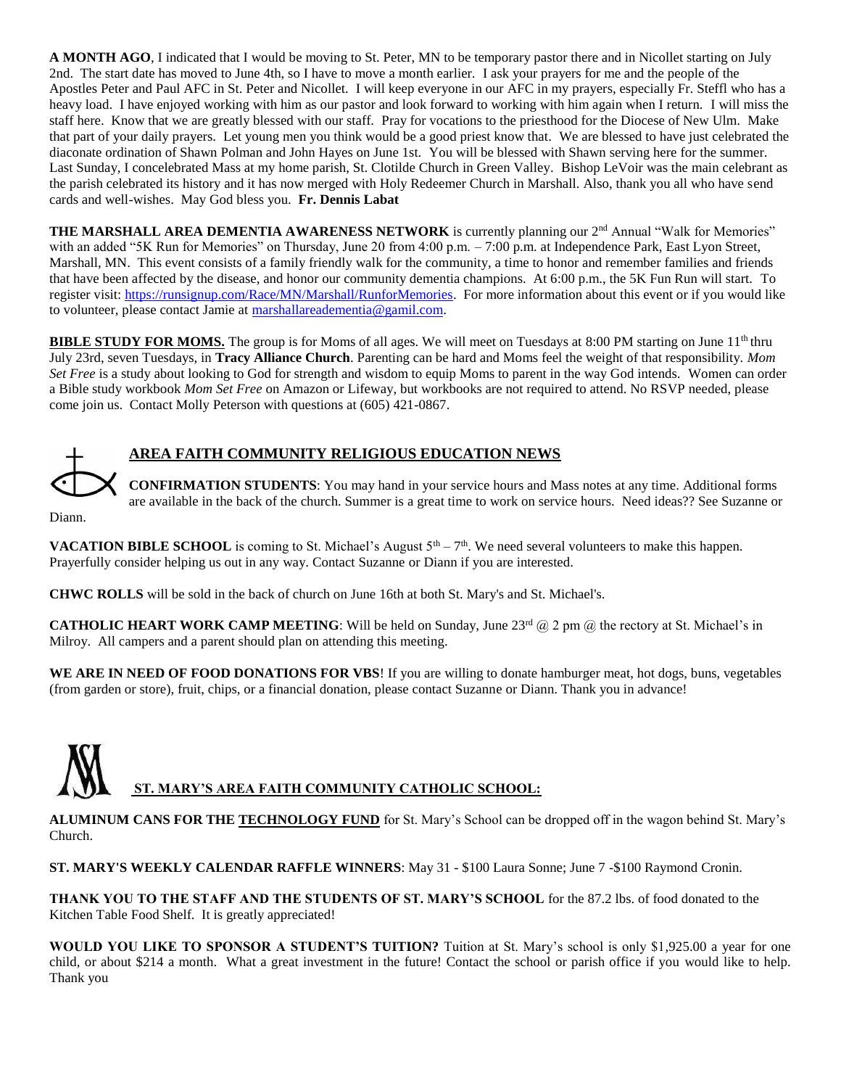**A MONTH AGO**, I indicated that I would be moving to St. Peter, MN to be temporary pastor there and in Nicollet starting on July 2nd. The start date has moved to June 4th, so I have to move a month earlier. I ask your prayers for me and the people of the Apostles Peter and Paul AFC in St. Peter and Nicollet. I will keep everyone in our AFC in my prayers, especially Fr. Steffl who has a heavy load. I have enjoyed working with him as our pastor and look forward to working with him again when I return. I will miss the staff here. Know that we are greatly blessed with our staff. Pray for vocations to the priesthood for the Diocese of New Ulm. Make that part of your daily prayers. Let young men you think would be a good priest know that. We are blessed to have just celebrated the diaconate ordination of Shawn Polman and John Hayes on June 1st. You will be blessed with Shawn serving here for the summer. Last Sunday, I concelebrated Mass at my home parish, St. Clotilde Church in Green Valley. Bishop LeVoir was the main celebrant as the parish celebrated its history and it has now merged with Holy Redeemer Church in Marshall. Also, thank you all who have send cards and well-wishes. May God bless you. **Fr. Dennis Labat**

**THE MARSHALL AREA DEMENTIA AWARENESS NETWORK** is currently planning our 2<sup>nd</sup> Annual "Walk for Memories" with an added "5K Run for Memories" on Thursday, June 20 from 4:00 p.m. – 7:00 p.m. at Independence Park, East Lyon Street, Marshall, MN. This event consists of a family friendly walk for the community, a time to honor and remember families and friends that have been affected by the disease, and honor our community dementia champions. At 6:00 p.m., the 5K Fun Run will start. To register visit: [https://runsignup.com/Race/MN/Marshall/RunforMemories.](https://runsignup.com/Race/MN/Marshall/RunforMemories) For more information about this event or if you would like to volunteer, please contact Jamie at [marshallareadementia@gamil.com.](mailto:marshallareadementia@gamil.com)

**BIBLE STUDY FOR MOMS.** The group is for Moms of all ages. We will meet on Tuesdays at 8:00 PM starting on June 11<sup>th</sup> thru July 23rd, seven Tuesdays, in **Tracy Alliance Church**. Parenting can be hard and Moms feel the weight of that responsibility. *Mom Set Free* is a study about looking to God for strength and wisdom to equip Moms to parent in the way God intends. Women can order a Bible study workbook *Mom Set Free* on Amazon or Lifeway, but workbooks are not required to attend. No RSVP needed, please come join us. Contact Molly Peterson with questions at (605) 421-0867.



## **AREA FAITH COMMUNITY RELIGIOUS EDUCATION NEWS**

**CONFIRMATION STUDENTS**: You may hand in your service hours and Mass notes at any time. Additional forms are available in the back of the church. Summer is a great time to work on service hours. Need ideas?? See Suzanne or

Diann.

**VACATION BIBLE SCHOOL** is coming to St. Michael's August  $5<sup>th</sup> - 7<sup>th</sup>$ . We need several volunteers to make this happen. Prayerfully consider helping us out in any way. Contact Suzanne or Diann if you are interested.

**CHWC ROLLS** will be sold in the back of church on June 16th at both St. Mary's and St. Michael's.

**CATHOLIC HEART WORK CAMP MEETING**: Will be held on Sunday, June 23<sup>rd</sup> @ 2 pm @ the rectory at St. Michael's in Milroy. All campers and a parent should plan on attending this meeting.

**WE ARE IN NEED OF FOOD DONATIONS FOR VBS**! If you are willing to donate hamburger meat, hot dogs, buns, vegetables (from garden or store), fruit, chips, or a financial donation, please contact Suzanne or Diann. Thank you in advance!

# **ST. MARY'S AREA FAITH COMMUNITY CATHOLIC SCHOOL:**

**ALUMINUM CANS FOR THE TECHNOLOGY FUND** for St. Mary's School can be dropped off in the wagon behind St. Mary's Church.

**ST. MARY'S WEEKLY CALENDAR RAFFLE WINNERS**: May 31 - \$100 Laura Sonne; June 7 -\$100 Raymond Cronin.

**THANK YOU TO THE STAFF AND THE STUDENTS OF ST. MARY'S SCHOOL** for the 87.2 lbs. of food donated to the Kitchen Table Food Shelf. It is greatly appreciated!

**WOULD YOU LIKE TO SPONSOR A STUDENT'S TUITION?** Tuition at St. Mary's school is only \$1,925.00 a year for one child, or about \$214 a month. What a great investment in the future! Contact the school or parish office if you would like to help. Thank you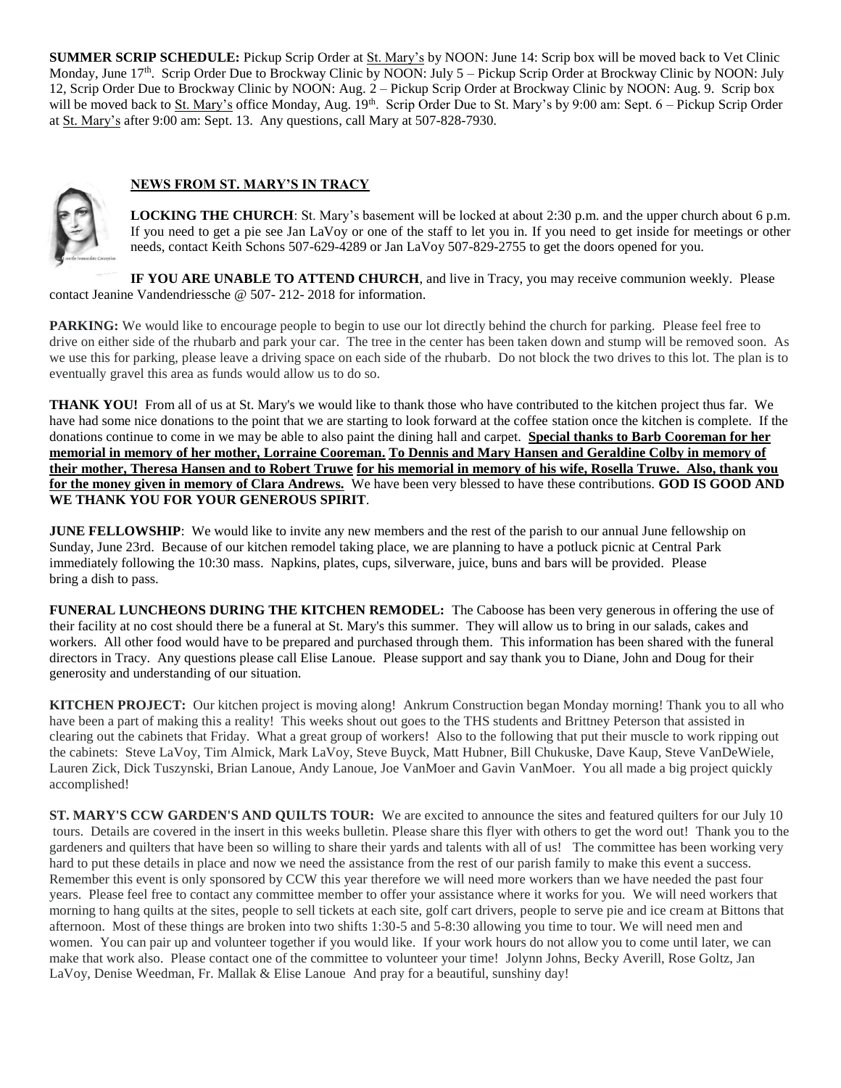**SUMMER SCRIP SCHEDULE:** Pickup Scrip Order at St. Mary's by NOON: June 14: Scrip box will be moved back to Vet Clinic Monday, June 17<sup>th</sup>. Scrip Order Due to Brockway Clinic by NOON: July 5 – Pickup Scrip Order at Brockway Clinic by NOON: July 12, Scrip Order Due to Brockway Clinic by NOON: Aug. 2 – Pickup Scrip Order at Brockway Clinic by NOON: Aug. 9. Scrip box will be moved back to St. Mary's office Monday, Aug. 19<sup>th</sup>. Scrip Order Due to St. Mary's by 9:00 am: Sept. 6 – Pickup Scrip Order at St. Mary's after 9:00 am: Sept. 13. Any questions, call Mary at 507-828-7930.

### **NEWS FROM ST. MARY'S IN TRACY**



**LOCKING THE CHURCH**: St. Mary's basement will be locked at about 2:30 p.m. and the upper church about 6 p.m. If you need to get a pie see Jan LaVoy or one of the staff to let you in. If you need to get inside for meetings or other needs, contact Keith Schons 507-629-4289 or Jan LaVoy 507-829-2755 to get the doors opened for you.

**IF YOU ARE UNABLE TO ATTEND CHURCH**, and live in Tracy, you may receive communion weekly. Please contact Jeanine Vandendriessche @ 507- 212- 2018 for information.

**PARKING:** We would like to encourage people to begin to use our lot directly behind the church for parking. Please feel free to drive on either side of the rhubarb and park your car. The tree in the center has been taken down and stump will be removed soon. As we use this for parking, please leave a driving space on each side of the rhubarb. Do not block the two drives to this lot. The plan is to eventually gravel this area as funds would allow us to do so.

**THANK YOU!** From all of us at St. Mary's we would like to thank those who have contributed to the kitchen project thus far. We have had some nice donations to the point that we are starting to look forward at the coffee station once the kitchen is complete. If the donations continue to come in we may be able to also paint the dining hall and carpet. **Special thanks to Barb Cooreman for her memorial in memory of her mother, Lorraine Cooreman. To Dennis and Mary Hansen and Geraldine Colby in memory of their mother, Theresa Hansen and to Robert Truwe for his memorial in memory of his wife, Rosella Truwe. Also, thank you for the money given in memory of Clara Andrews.** We have been very blessed to have these contributions. **GOD IS GOOD AND WE THANK YOU FOR YOUR GENEROUS SPIRIT**.

**JUNE FELLOWSHIP**: We would like to invite any new members and the rest of the parish to our annual June fellowship on Sunday, June 23rd. Because of our kitchen remodel taking place, we are planning to have a potluck picnic at Central Park immediately following the 10:30 mass. Napkins, plates, cups, silverware, juice, buns and bars will be provided. Please bring a dish to pass.

**FUNERAL LUNCHEONS DURING THE KITCHEN REMODEL:** The Caboose has been very generous in offering the use of their facility at no cost should there be a funeral at St. Mary's this summer. They will allow us to bring in our salads, cakes and workers. All other food would have to be prepared and purchased through them. This information has been shared with the funeral directors in Tracy. Any questions please call Elise Lanoue. Please support and say thank you to Diane, John and Doug for their generosity and understanding of our situation.

**KITCHEN PROJECT:** Our kitchen project is moving along! Ankrum Construction began Monday morning! Thank you to all who have been a part of making this a reality! This weeks shout out goes to the THS students and Brittney Peterson that assisted in clearing out the cabinets that Friday. What a great group of workers! Also to the following that put their muscle to work ripping out the cabinets: Steve LaVoy, Tim Almick, Mark LaVoy, Steve Buyck, Matt Hubner, Bill Chukuske, Dave Kaup, Steve VanDeWiele, Lauren Zick, Dick Tuszynski, Brian Lanoue, Andy Lanoue, Joe VanMoer and Gavin VanMoer. You all made a big project quickly accomplished!

**ST. MARY'S CCW GARDEN'S AND QUILTS TOUR:** We are excited to announce the sites and featured quilters for our July 10 tours. Details are covered in the insert in this weeks bulletin. Please share this flyer with others to get the word out! Thank you to the gardeners and quilters that have been so willing to share their yards and talents with all of us! The committee has been working very hard to put these details in place and now we need the assistance from the rest of our parish family to make this event a success. Remember this event is only sponsored by CCW this year therefore we will need more workers than we have needed the past four years. Please feel free to contact any committee member to offer your assistance where it works for you. We will need workers that morning to hang quilts at the sites, people to sell tickets at each site, golf cart drivers, people to serve pie and ice cream at Bittons that afternoon. Most of these things are broken into two shifts 1:30-5 and 5-8:30 allowing you time to tour. We will need men and women. You can pair up and volunteer together if you would like. If your work hours do not allow you to come until later, we can make that work also. Please contact one of the committee to volunteer your time! Jolynn Johns, Becky Averill, Rose Goltz, Jan LaVoy, Denise Weedman, Fr. Mallak & Elise Lanoue And pray for a beautiful, sunshiny day!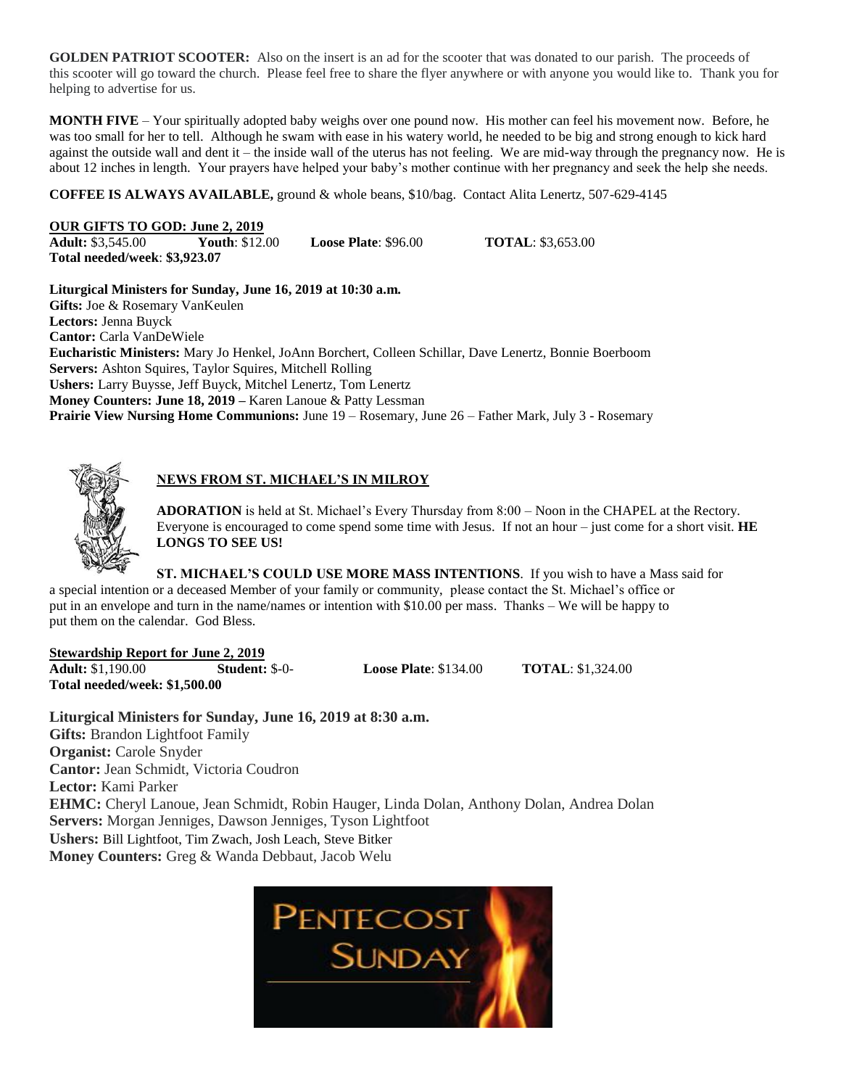**GOLDEN PATRIOT SCOOTER:** Also on the insert is an ad for the scooter that was donated to our parish. The proceeds of this scooter will go toward the church. Please feel free to share the flyer anywhere or with anyone you would like to. Thank you for helping to advertise for us.

**MONTH FIVE** – Your spiritually adopted baby weighs over one pound now. His mother can feel his movement now. Before, he was too small for her to tell. Although he swam with ease in his watery world, he needed to be big and strong enough to kick hard against the outside wall and dent it – the inside wall of the uterus has not feeling. We are mid-way through the pregnancy now. He is about 12 inches in length. Your prayers have helped your baby's mother continue with her pregnancy and seek the help she needs.

**COFFEE IS ALWAYS AVAILABLE,** ground & whole beans, \$10/bag. Contact Alita Lenertz, 507-629-4145

### **OUR GIFTS TO GOD: June 2, 2019**

**Adult:** \$3,545.00 **Youth**: \$12.00 **Loose Plate**: \$96.00 **TOTAL**: \$3,653.00 **Total needed/week**: **\$3,923.07**

**Liturgical Ministers for Sunday, June 16, 2019 at 10:30 a.m. Gifts:** Joe & Rosemary VanKeulen **Lectors:** Jenna Buyck **Cantor:** Carla VanDeWiele **Eucharistic Ministers:** Mary Jo Henkel, JoAnn Borchert, Colleen Schillar, Dave Lenertz, Bonnie Boerboom **Servers:** Ashton Squires, Taylor Squires, Mitchell Rolling **Ushers:** Larry Buysse, Jeff Buyck, Mitchel Lenertz, Tom Lenertz **Money Counters: June 18, 2019 –** Karen Lanoue & Patty Lessman **Prairie View Nursing Home Communions:** June 19 – Rosemary, June 26 – Father Mark, July 3 - Rosemary

### **NEWS FROM ST. MICHAEL'S IN MILROY**

**ADORATION** is held at St. Michael's Every Thursday from 8:00 – Noon in the CHAPEL at the Rectory. Everyone is encouraged to come spend some time with Jesus. If not an hour – just come for a short visit. **HE LONGS TO SEE US!**

**ST. MICHAEL'S COULD USE MORE MASS INTENTIONS**. If you wish to have a Mass said for a special intention or a deceased Member of your family or community, please contact the St. Michael's office or put in an envelope and turn in the name/names or intention with \$10.00 per mass. Thanks – We will be happy to put them on the calendar. God Bless.

### **Stewardship Report for June 2, 2019**

**Adult:** \$1,190.00 **Student:** \$-0- **Loose Plate**: \$134.00 **TOTAL**: \$1,324.00 **Total needed/week: \$1,500.00**

**Liturgical Ministers for Sunday, June 16, 2019 at 8:30 a.m. Gifts:** Brandon Lightfoot Family **Organist:** Carole Snyder **Cantor:** Jean Schmidt, Victoria Coudron **Lector:** Kami Parker **EHMC:** Cheryl Lanoue, Jean Schmidt, Robin Hauger, Linda Dolan, Anthony Dolan, Andrea Dolan **Servers:** Morgan Jenniges, Dawson Jenniges, Tyson Lightfoot **Ushers:** Bill Lightfoot, Tim Zwach, Josh Leach, Steve Bitker **Money Counters:** Greg & Wanda Debbaut, Jacob Welu